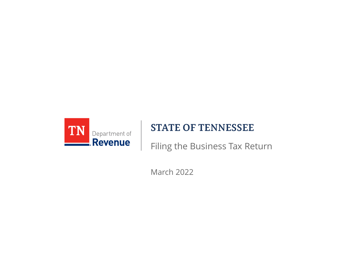

#### **STATE OF TENNESSEE**

Filing the Business Tax Return

March 2022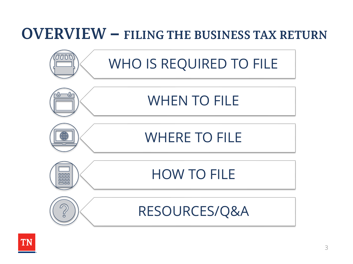### **OVERVIEW – FILING THE BUSINESS TAX RETURN**



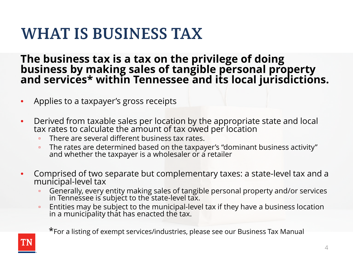### **WHAT IS BUSINESS TAX**

**The business tax is a tax on the privilege of doing business by making sales of tangible personal property and services\* within Tennessee and its local jurisdictions.**

- Applies to a taxpayer's gross receipts
- Derived from taxable sales per location by the appropriate state and local tax rates to calculate the amount of tax owed per location
	- There are several different business tax rates.
	- The rates are determined based on the taxpayer's "dominant business activity" and whether the taxpayer is a wholesaler or a retailer
- Comprised of two separate but complementary taxes: a state-level tax and a municipal-level tax
	- Generally, every entity making sales of tangible personal property and/or services in Tennessee is subject to the state-level tax.
	- Entities may be subject to the municipal-level tax if they have a business location in a municipality that has enacted the tax.

\*For a listing of exempt services/industries, please see our Business Tax Manual

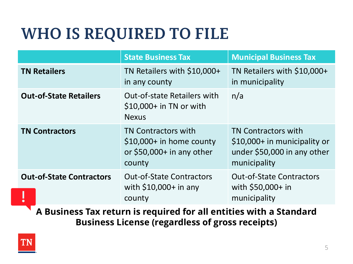## **WHO IS REQUIRED TO FILE**

|                                 | <b>State Business Tax</b>                                                                       | <b>Municipal Business Tax</b>                                                                             |  |
|---------------------------------|-------------------------------------------------------------------------------------------------|-----------------------------------------------------------------------------------------------------------|--|
| <b>TN Retailers</b>             | TN Retailers with \$10,000+<br>in any county                                                    | TN Retailers with \$10,000+<br>in municipality                                                            |  |
| <b>Out-of-State Retailers</b>   | <b>Out-of-state Retailers with</b><br>$$10,000+$ in TN or with<br><b>Nexus</b>                  | n/a                                                                                                       |  |
| <b>TN Contractors</b>           | <b>TN Contractors with</b><br>$$10,000+$ in home county<br>or $$50,000+$ in any other<br>county | <b>TN Contractors with</b><br>\$10,000+ in municipality or<br>under \$50,000 in any other<br>municipality |  |
| <b>Out-of-State Contractors</b> | <b>Out-of-State Contractors</b><br>with $$10,000+$ in any<br>county                             | <b>Out-of-State Contractors</b><br>with \$50,000+ in<br>municipality                                      |  |

**A Business Tax return is required for all entities with a Standard Business License (regardless of gross receipts)** 

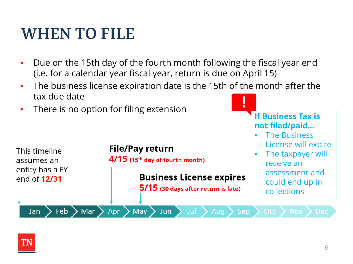### **WHEN TO FILE**

- Due on the 15th day of the fourth month following the fiscal year end (i.e. for a calendar year fiscal year, return is due on April 15)
- The business license expiration date is the 15th of the month after the tax due date
- There is no option for filing extension **If Business Tax is**



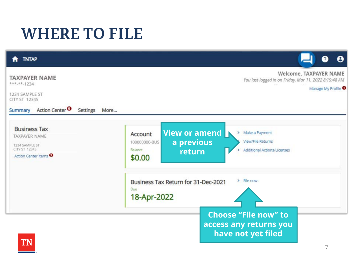### **WHERE TO FILE**

| <b>TNTAP</b><br>A                                                                                                                                                        |                                                                                                                                                                    |
|--------------------------------------------------------------------------------------------------------------------------------------------------------------------------|--------------------------------------------------------------------------------------------------------------------------------------------------------------------|
| <b>TAXPAYER NAME</b><br>$***.**.1234$<br>1234 SAMPLE ST<br>CITY ST 12345                                                                                                 | Welcome, TAXPAYER NAME<br>You last logged in on Friday, Mar 11, 2022 8:19:48 AM<br>Manage My Profile <sup>O</sup>                                                  |
| Action Center <sup>O</sup><br>Settings<br>More<br>Summary<br><b>Business Tax</b><br>TAXPAYER NAME<br>1234 SAMPLE ST<br>CITY ST 12345<br>Action Center Items <sup>6</sup> | View or amend<br>Make a Payment<br>Y.<br>Account<br>a previous<br>View/File Returns<br>100000000-BUS<br>Balance<br>Additional Actions/Licenses<br>return<br>\$0.00 |
|                                                                                                                                                                          | $\triangleright$ File now<br>Business Tax Return for 31-Dec-2021<br>Due.<br>18-Apr-2022                                                                            |
| TN                                                                                                                                                                       | <b>Choose "File now" to</b><br>access any returns you<br>have not yet filed                                                                                        |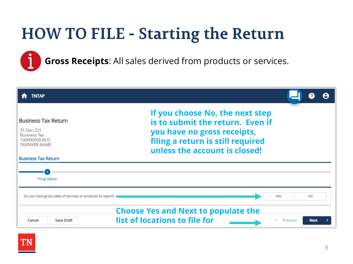**Gross Receipts**: All sales derived from products or services.

| <b>TNTAP</b>                                                                                      |                                                                                                                                                                          |          |             |  |
|---------------------------------------------------------------------------------------------------|--------------------------------------------------------------------------------------------------------------------------------------------------------------------------|----------|-------------|--|
| <b>Business Tax Return</b><br>31-Dec-221<br><b>Business Tax</b><br>100000000-BUS<br>TAXPAYER NAME | If you choose No, the next step<br>is to submit the return. Even if<br>you have no gross receipts,<br>filing a return is still required<br>unless the account is closed! |          |             |  |
| <b>Business Tax Return</b>                                                                        |                                                                                                                                                                          |          |             |  |
| <b>Filing Option</b>                                                                              |                                                                                                                                                                          |          |             |  |
| Do you have gross sales of services or products to report?                                        |                                                                                                                                                                          | Yes      | No          |  |
| Cancel<br>Save Draft                                                                              | <b>Choose Yes and Next to populate the</b><br>list of locations to file for                                                                                              | Previous | <b>Next</b> |  |

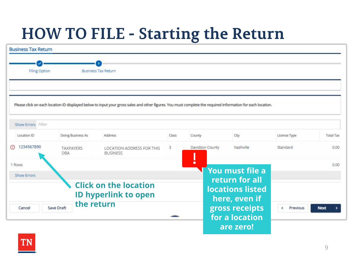| <b>Business Tax Return</b> |                                |                                                                                                                                                             |       |                 |                                   |               |                  |
|----------------------------|--------------------------------|-------------------------------------------------------------------------------------------------------------------------------------------------------------|-------|-----------------|-----------------------------------|---------------|------------------|
|                            |                                |                                                                                                                                                             |       |                 |                                   |               |                  |
| Filing Option              |                                | <b>Business Tax Return</b>                                                                                                                                  |       |                 |                                   |               |                  |
|                            |                                |                                                                                                                                                             |       |                 |                                   |               |                  |
|                            |                                | Please click on each location ID displayed below to input your gross sales and other figures. You must complete the required information for each location. |       |                 |                                   |               |                  |
|                            |                                |                                                                                                                                                             |       |                 |                                   |               |                  |
| Show Errors Filter         |                                |                                                                                                                                                             |       |                 |                                   |               |                  |
| Location ID                | Doing Business As              | Address                                                                                                                                                     | Class | County          | City                              | License Type  | <b>Total Tax</b> |
| 1234567890<br>$\circ$      | <b>TAXPAYERS</b><br><b>DBA</b> | <b>LOCATION ADDRESS FOR THIS</b><br><b>BUSINESS</b>                                                                                                         | з     | Davidson County | Nashville                         | Standard      | 0.00             |
| 1 Rows                     |                                |                                                                                                                                                             |       | $\bullet$       |                                   |               | 0.00             |
| <b>Show Errors</b>         |                                |                                                                                                                                                             |       |                 | You must file a<br>return for all |               |                  |
|                            |                                | <b>Click on the location</b>                                                                                                                                |       |                 | <b>locations listed</b>           |               |                  |
|                            |                                | <b>ID hyperlink to open</b>                                                                                                                                 |       |                 | here, even if                     |               |                  |
| Cancel                     | the return<br>Save Draft       |                                                                                                                                                             |       |                 | gross receipts                    | Previous<br>∢ | <b>Next</b>      |
|                            |                                |                                                                                                                                                             |       |                 | for a location                    |               |                  |
|                            |                                |                                                                                                                                                             |       |                 | are zero!                         |               |                  |

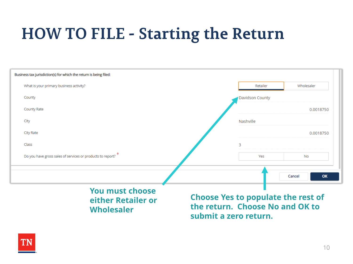| Business tax jurisdiction(s) for which the return is being filed: |                 |              |
|-------------------------------------------------------------------|-----------------|--------------|
| What is your primary business activity?                           | Retailer        | Wholesaler   |
| County                                                            | Davidson County |              |
| County Rate                                                       |                 | 0.0018750    |
| City                                                              | Nashville       |              |
| City Rate                                                         |                 | 0.0018750    |
| Class                                                             | 3               |              |
| Do you have gross sales of services or products to report? *      | Yes             | <b>No</b>    |
|                                                                   |                 |              |
|                                                                   |                 | OK<br>Cancel |

#### **You must choose either Retailer or Wholesaler**

**Choose Yes to populate the rest of the return. Choose No and OK to submit a zero return.**

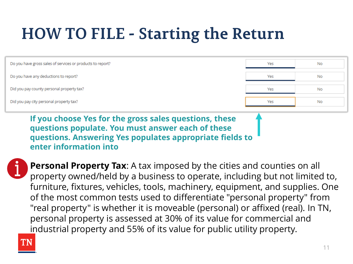| Do you have gross sales of services or products to report? | Yes | No |
|------------------------------------------------------------|-----|----|
| Do you have any deductions to report?                      | Yes | No |
| Did you pay county personal property tax?                  | Yes | No |
| Did you pay city personal property tax?                    | Yes | No |

**If you choose Yes for the gross sales questions, these questions populate. You must answer each of these questions. Answering Yes populates appropriate fields to enter information into**



**Personal Property Tax**: A tax imposed by the cities and counties on all property owned/held by a business to operate, including but not limited to, furniture, fixtures, vehicles, tools, machinery, equipment, and supplies. One of the most common tests used to differentiate "personal property" from "real property" is whether it is moveable (personal) or affixed (real). In TN, personal property is assessed at 30% of its value for commercial and industrial property and 55% of its value for public utility property.

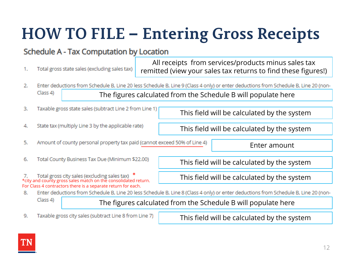# **HOW TO FILE – Entering Gross Receipts**

#### Schedule A - Tax Computation by Location

Total gross state sales (excluding sales tax) 1.

All receipts from services/products minus sales tax remitted (view your sales tax returns to find these figures!)

- Enter deductions from Schedule B, Line 20 less Schedule B, Line 9 (Class 4 only) or enter deductions from Schedule B, Line 20 (non-2.  $Class 4$ The figures calculated from the Schedule B will populate here
- Taxable gross state sales (subtract Line 2 from Line 1) 3.
- State tax (multiply Line 3 by the applicable rate) 4.

5. Amount of county personal property tax paid (cannot exceed 50% of Line 4)

Enter amount

6. Total County Business Tax Due (Minimum \$22.00)

7. Total gross city sales (excluding sales tax) \*<br>\*city and county gross sales match on the consolidated return.

For Class 4 contractors there is a separate return for each.

This field will be calculated by the system

This field will be calculated by the system

This field will be calculated by the system

This field will be calculated by the system

Enter deductions from Schedule B, Line 20 less Schedule B, Line 8 (Class 4 only) or enter deductions from Schedule B, Line 20 (non-8.

 $Class 4$ 

The figures calculated from the Schedule B will populate here

Taxable gross city sales (subtract Line 8 from Line 7) 9.

This field will be calculated by the system

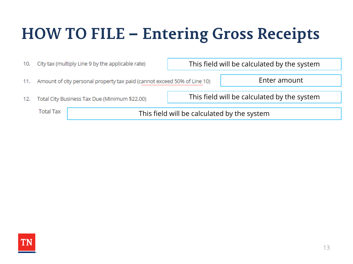## **HOW TO FILE – Entering Gross Receipts**

| 10. | City tax (multiply Line 9 by the applicable rate)                            | This field will be calculated by the system |  |
|-----|------------------------------------------------------------------------------|---------------------------------------------|--|
|     | 11. Amount of city personal property tax paid (cannot exceed 50% of Line 10) | Enter amount                                |  |
| 12. | Total City Business Tax Due (Minimum \$22.00)                                | This field will be calculated by the system |  |
|     | <b>Total Tax</b>                                                             | This field will be calculated by the system |  |

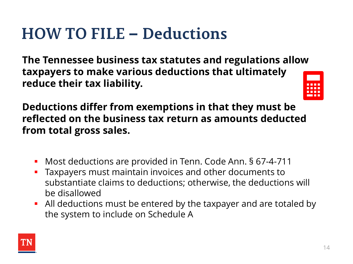### **HOW TO FILE – Deductions**

**The Tennessee business tax statutes and regulations allow taxpayers to make various deductions that ultimately reduce their tax liability.** 



**Deductions differ from exemptions in that they must be reflected on the business tax return as amounts deducted from total gross sales.** 

- **Most deductions are provided in Tenn. Code Ann. § 67-4-711**
- **Taxpayers must maintain invoices and other documents to** substantiate claims to deductions; otherwise, the deductions will be disallowed
- All deductions must be entered by the taxpayer and are totaled by the system to include on Schedule A

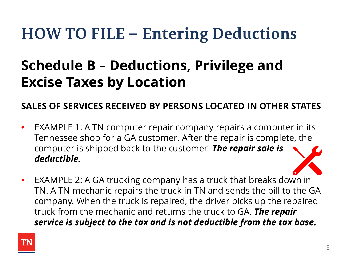### **Schedule B – Deductions, Privilege and Excise Taxes by Location**

#### **SALES OF SERVICES RECEIVED BY PERSONS LOCATED IN OTHER STATES**

- EXAMPLE 1: A TN computer repair company repairs a computer in its Tennessee shop for a GA customer. After the repair is complete, the computer is shipped back to the customer. *The repair sale is deductible.*
- EXAMPLE 2: A GA trucking company has a truck that breaks down in TN. A TN mechanic repairs the truck in TN and sends the bill to the GA company. When the truck is repaired, the driver picks up the repaired truck from the mechanic and returns the truck to GA. *The repair service is subject to the tax and is not deductible from the tax base.*

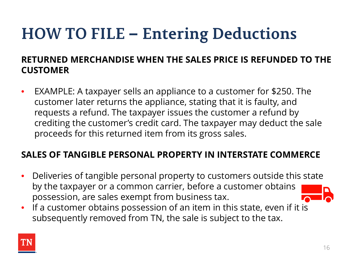#### **RETURNED MERCHANDISE WHEN THE SALES PRICE IS REFUNDED TO THE CUSTOMER**

• EXAMPLE: A taxpayer sells an appliance to a customer for \$250. The customer later returns the appliance, stating that it is faulty, and requests a refund. The taxpayer issues the customer a refund by crediting the customer's credit card. The taxpayer may deduct the sale proceeds for this returned item from its gross sales.

#### **SALES OF TANGIBLE PERSONAL PROPERTY IN INTERSTATE COMMERCE**

- Deliveries of tangible personal property to customers outside this state by the taxpayer or a common carrier, before a customer obtains possession, are sales exempt from business tax.
- If a customer obtains possession of an item in this state, even if it is subsequently removed from TN, the sale is subject to the tax.

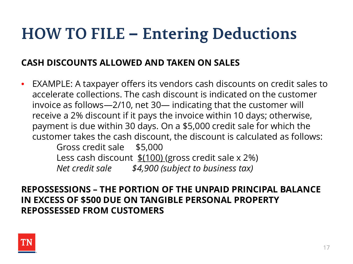#### **CASH DISCOUNTS ALLOWED AND TAKEN ON SALES**

• EXAMPLE: A taxpayer offers its vendors cash discounts on credit sales to accelerate collections. The cash discount is indicated on the customer invoice as follows—2/10, net 30— indicating that the customer will receive a 2% discount if it pays the invoice within 10 days; otherwise, payment is due within 30 days. On a \$5,000 credit sale for which the customer takes the cash discount, the discount is calculated as follows: Gross credit sale \$5,000 Less cash discount  $\frac{\$(100)}{\$(gross credit sale x 2\%)}$ *Net credit sale \$4,900 (subject to business tax)*

**REPOSSESSIONS – THE PORTION OF THE UNPAID PRINCIPAL BALANCE IN EXCESS OF \$500 DUE ON TANGIBLE PERSONAL PROPERTY REPOSSESSED FROM CUSTOMERS**

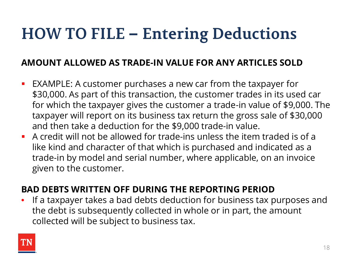#### **AMOUNT ALLOWED AS TRADE-IN VALUE FOR ANY ARTICLES SOLD**

- EXAMPLE: A customer purchases a new car from the taxpayer for \$30,000. As part of this transaction, the customer trades in its used car for which the taxpayer gives the customer a trade-in value of \$9,000. The taxpayer will report on its business tax return the gross sale of \$30,000 and then take a deduction for the \$9,000 trade-in value.
- A credit will not be allowed for trade-ins unless the item traded is of a like kind and character of that which is purchased and indicated as a trade-in by model and serial number, where applicable, on an invoice given to the customer.

#### **BAD DEBTS WRITTEN OFF DURING THE REPORTING PERIOD**

• If a taxpayer takes a bad debts deduction for business tax purposes and the debt is subsequently collected in whole or in part, the amount collected will be subject to business tax.

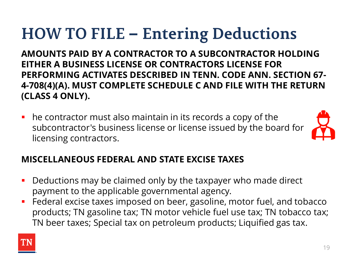**AMOUNTS PAID BY A CONTRACTOR TO A SUBCONTRACTOR HOLDING EITHER A BUSINESS LICENSE OR CONTRACTORS LICENSE FOR PERFORMING ACTIVATES DESCRIBED IN TENN. CODE ANN. SECTION 67- 4-708(4)(A). MUST COMPLETE SCHEDULE C AND FILE WITH THE RETURN (CLASS 4 ONLY).**

 he contractor must also maintain in its records a copy of the subcontractor's business license or license issued by the board for licensing contractors.



#### **MISCELLANEOUS FEDERAL AND STATE EXCISE TAXES**

- **Deductions may be claimed only by the taxpayer who made direct** payment to the applicable governmental agency.
- Federal excise taxes imposed on beer, gasoline, motor fuel, and tobacco products; TN gasoline tax; TN motor vehicle fuel use tax; TN tobacco tax; TN beer taxes; Special tax on petroleum products; Liquified gas tax.

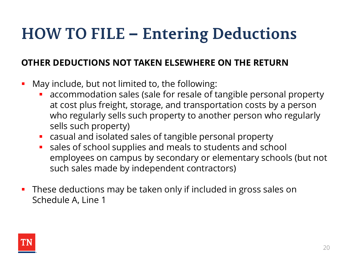#### **OTHER DEDUCTIONS NOT TAKEN ELSEWHERE ON THE RETURN**

- **May include, but not limited to, the following:** 
	- accommodation sales (sale for resale of tangible personal property at cost plus freight, storage, and transportation costs by a person who regularly sells such property to another person who regularly sells such property)
	- casual and isolated sales of tangible personal property
	- sales of school supplies and meals to students and school employees on campus by secondary or elementary schools (but not such sales made by independent contractors)
- **These deductions may be taken only if included in gross sales on** Schedule A, Line 1

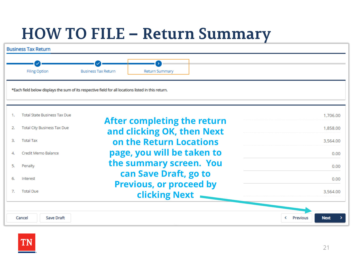### **HOW TO FILE – Return Summary**



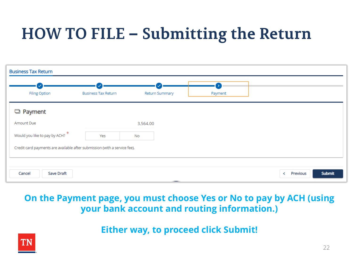# **HOW TO FILE – Submitting the Return**

| <b>Business Tax Return</b>                                                |                            |                         |                |                                |
|---------------------------------------------------------------------------|----------------------------|-------------------------|----------------|--------------------------------|
| <b>Filing Option</b>                                                      | <b>Business Tax Return</b> | Return Summary          | 452<br>Payment |                                |
| D Payment                                                                 |                            |                         |                |                                |
| Amount Due                                                                |                            | 3,564.00                |                |                                |
| Would you like to pay by ACH? *                                           | Yes                        | <b>No</b>               |                |                                |
| Credit card payments are available after submission (with a service fee). |                            |                         |                |                                |
|                                                                           |                            |                         |                |                                |
| <b>Save Draft</b><br>Cancel                                               |                            | and the property of the |                | <b>Submit</b><br>Previous<br>≺ |

#### **On the Payment page, you must choose Yes or No to pay by ACH (using your bank account and routing information.)**

**Either way, to proceed click Submit!**

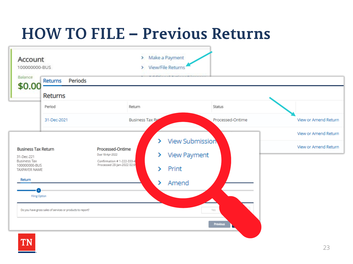## **HOW TO FILE – Previous Returns**

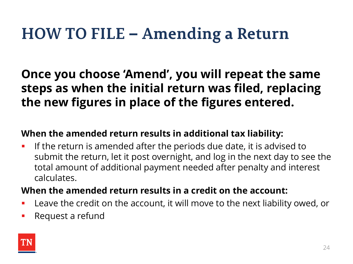### **HOW TO FILE – Amending a Return**

### **Once you choose 'Amend', you will repeat the same steps as when the initial return was filed, replacing the new figures in place of the figures entered.**

#### **When the amended return results in additional tax liability:**

**If the return is amended after the periods due date, it is advised to** submit the return, let it post overnight, and log in the next day to see the total amount of additional payment needed after penalty and interest calculates.

#### **When the amended return results in a credit on the account:**

- Leave the credit on the account, it will move to the next liability owed, or
- Request a refund

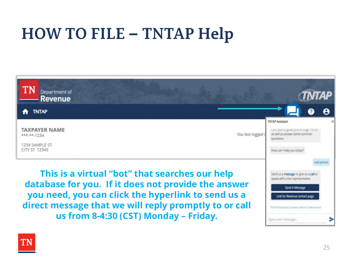## **HOW TO FILE – TNTAP Help**



**database for you. If it does not provide the answer you need, you can click the hyperlink to send us a direct message that we will reply promptly to or call us from 8-4:30 (CST) Monday – Friday.**



Link for Revenue contact page

TNTAP Assistant's answer doesn't make sense.

Type your message...

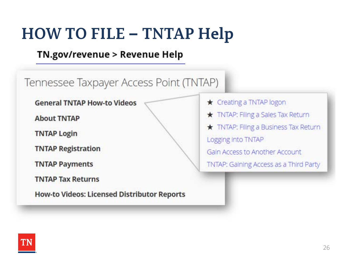### **HOW TO FILE – TNTAP Help**

#### TN.gov/revenue > Revenue Help

Tennessee Taxpayer Access Point (TNTAP) ★ Creating a TNTAP logon **General TNTAP How-to Videos** TNTAP: Filing a Sales Tax Return **About TNTAP** TNTAP: Filing a Business Tax Return **TNTAP Login** Logging into TNTAP **TNTAP Registration** Gain Access to Another Account **TNTAP Payments** TNTAP: Gaining Access as a Third Party **TNTAP Tax Returns How-to Videos: Licensed Distributor Reports** 

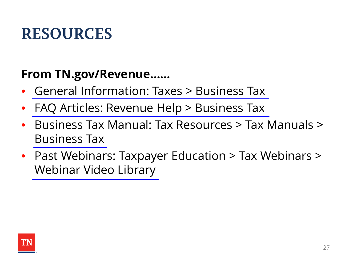### **RESOURCES**

### **From TN.gov/Revenue……**

- [General Information: Taxes > Business Tax](https://www.tn.gov/revenue/taxes/business-tax.html)
- [FAQ Articles: Revenue Help > Business Tax](https://revenue.support.tn.gov/hc/en-us/sections/200548995-Business-Tax-)
- Business Tax Manual: Tax Resources > Tax Manuals > [Business Tax](https://www.tn.gov/content/dam/tn/revenue/documents/tax_manuals/august-2021/Business-Tax.pdf)
- Past Webinars: Taxpayer Education > Tax Webinars > [Webinar Video Library](https://www.tn.gov/revenue/taxpayer-education/tax-webinars.html)

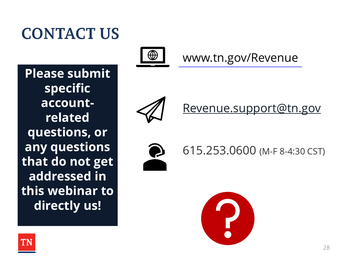### **CONTACT US**

**Please submit specific accountrelated questions, or any questions that do not get addressed in this webinar to directly us!**



[www.tn.gov/Revenue](https://www.tn.gov/revenue)



[Revenue.support@tn.gov](mailto:Revenue.support@tn.gov)



615.253.0600 (M-F 8-4:30 CST)